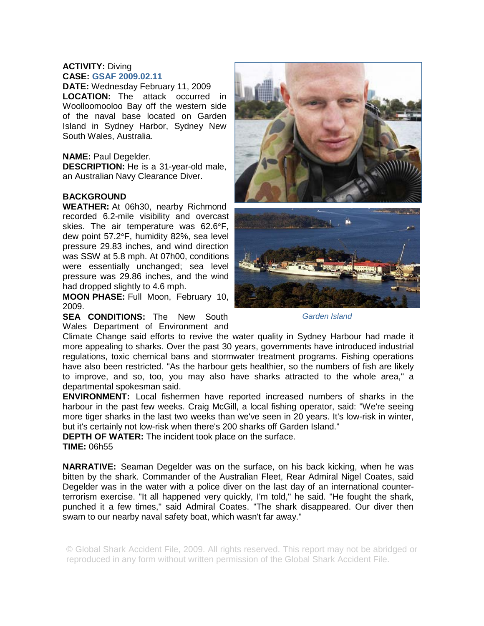## **ACTIVITY:** Diving **CASE: GSAF 2009.02.11**

**DATE:** Wednesday February 11, 2009 **LOCATION:** The attack occurred in Woolloomooloo Bay off the western side of the naval base located on Garden Island in Sydney Harbor, Sydney New South Wales, Australia.

# **NAME:** Paul Degelder.

**DESCRIPTION:** He is a 31-year-old male, an Australian Navy Clearance Diver.

# **BACKGROUND**

**WEATHER:** At 06h30, nearby Richmond recorded 6.2-mile visibility and overcast skies. The air temperature was 62.6°F, dew point 57.2°F, humidity 82%, sea level pressure 29.83 inches, and wind direction was SSW at 5.8 mph. At 07h00, conditions were essentially unchanged; sea level pressure was 29.86 inches, and the wind had dropped slightly to 4.6 mph.

**MOON PHASE:** Full Moon, February 10, 2009.

**SEA CONDITIONS: The New South** Wales Department of Environment and



*Garden Island* 

Climate Change said efforts to revive the water quality in Sydney Harbour had made it more appealing to sharks. Over the past 30 years, governments have introduced industrial regulations, toxic chemical bans and stormwater treatment programs. Fishing operations have also been restricted. "As the harbour gets healthier, so the numbers of fish are likely to improve, and so, too, you may also have sharks attracted to the whole area," a departmental spokesman said.

**ENVIRONMENT:** Local fishermen have reported increased numbers of sharks in the harbour in the past few weeks. Craig McGill, a local fishing operator, said: "We're seeing more tiger sharks in the last two weeks than we've seen in 20 years. It's low-risk in winter, but it's certainly not low-risk when there's 200 sharks off Garden Island."

**DEPTH OF WATER:** The incident took place on the surface.

**TIME:** 06h55

**NARRATIVE:** Seaman Degelder was on the surface, on his back kicking, when he was bitten by the shark. Commander of the Australian Fleet, Rear Admiral Nigel Coates, said Degelder was in the water with a police diver on the last day of an international counterterrorism exercise. "It all happened very quickly, I'm told," he said. "He fought the shark, punched it a few times," said Admiral Coates. "The shark disappeared. Our diver then swam to our nearby naval safety boat, which wasn't far away."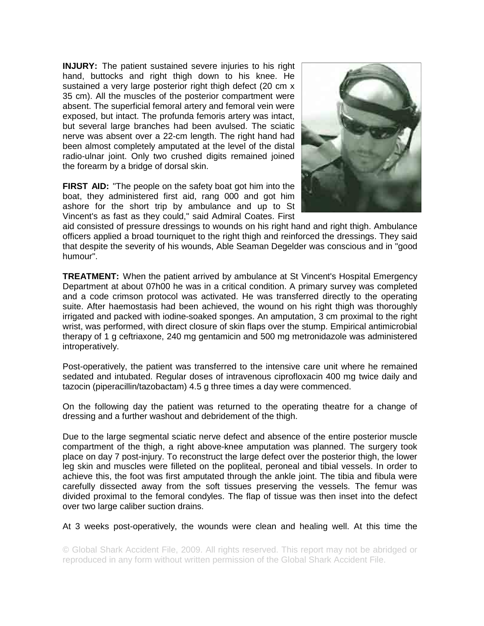**INJURY:** The patient sustained severe injuries to his right hand, buttocks and right thigh down to his knee. He sustained a very large posterior right thigh defect (20 cm x 35 cm). All the muscles of the posterior compartment were absent. The superficial femoral artery and femoral vein were exposed, but intact. The profunda femoris artery was intact, but several large branches had been avulsed. The sciatic nerve was absent over a 22-cm length. The right hand had been almost completely amputated at the level of the distal radio-ulnar joint. Only two crushed digits remained joined the forearm by a bridge of dorsal skin.

**FIRST AID:** "The people on the safety boat got him into the boat, they administered first aid, rang 000 and got him ashore for the short trip by ambulance and up to St Vincent's as fast as they could," said Admiral Coates. First



aid consisted of pressure dressings to wounds on his right hand and right thigh. Ambulance officers applied a broad tourniquet to the right thigh and reinforced the dressings. They said that despite the severity of his wounds, Able Seaman Degelder was conscious and in "good humour".

**TREATMENT:** When the patient arrived by ambulance at St Vincent's Hospital Emergency Department at about 07h00 he was in a critical condition. A primary survey was completed and a code crimson protocol was activated. He was transferred directly to the operating suite. After haemostasis had been achieved, the wound on his right thigh was thoroughly irrigated and packed with iodine-soaked sponges. An amputation, 3 cm proximal to the right wrist, was performed, with direct closure of skin flaps over the stump. Empirical antimicrobial therapy of 1 g ceftriaxone, 240 mg gentamicin and 500 mg metronidazole was administered introperatively.

Post-operatively, the patient was transferred to the intensive care unit where he remained sedated and intubated. Regular doses of intravenous ciprofloxacin 400 mg twice daily and tazocin (piperacillin/tazobactam) 4.5 g three times a day were commenced.

On the following day the patient was returned to the operating theatre for a change of dressing and a further washout and debridement of the thigh.

Due to the large segmental sciatic nerve defect and absence of the entire posterior muscle compartment of the thigh, a right above-knee amputation was planned. The surgery took place on day 7 post-injury. To reconstruct the large defect over the posterior thigh, the lower leg skin and muscles were filleted on the popliteal, peroneal and tibial vessels. In order to achieve this, the foot was first amputated through the ankle joint. The tibia and fibula were carefully dissected away from the soft tissues preserving the vessels. The femur was divided proximal to the femoral condyles. The flap of tissue was then inset into the defect over two large caliber suction drains.

At 3 weeks post-operatively, the wounds were clean and healing well. At this time the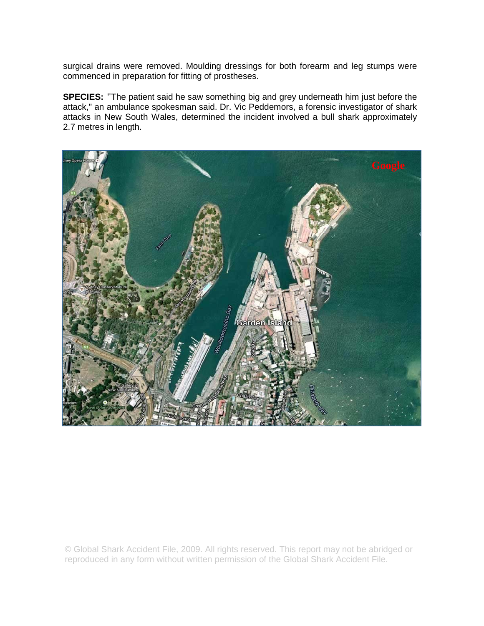surgical drains were removed. Moulding dressings for both forearm and leg stumps were commenced in preparation for fitting of prostheses.

**SPECIES:** "The patient said he saw something big and grey underneath him just before the attack," an ambulance spokesman said. Dr. Vic Peddemors, a forensic investigator of shark attacks in New South Wales, determined the incident involved a bull shark approximately 2.7 metres in length.

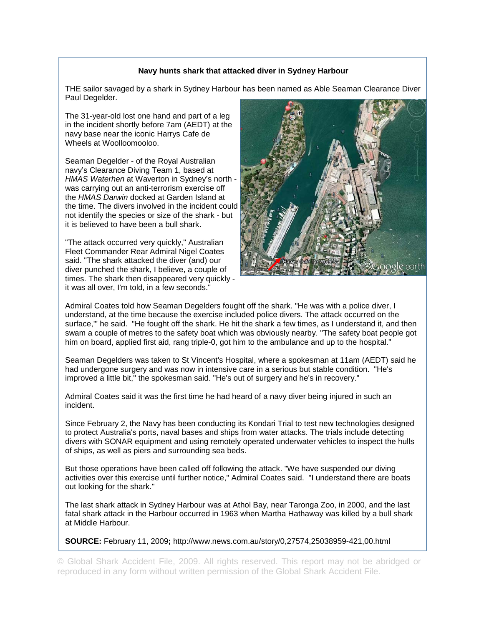## **Navy hunts shark that attacked diver in Sydney Harbour**

THE sailor savaged by a shark in Sydney Harbour has been named as Able Seaman Clearance Diver Paul Degelder.

The 31-year-old lost one hand and part of a leg in the incident shortly before 7am (AEDT) at the navy base near the iconic Harrys Cafe de Wheels at Woolloomooloo.

Seaman Degelder - of the Royal Australian navy's Clearance Diving Team 1, based at *HMAS Waterhen* at Waverton in Sydney's north was carrying out an anti-terrorism exercise off the *HMAS Darwin* docked at Garden Island at the time. The divers involved in the incident could not identify the species or size of the shark - but it is believed to have been a bull shark.

"The attack occurred very quickly," Australian Fleet Commander Rear Admiral Nigel Coates said. "The shark attacked the diver (and) our diver punched the shark, I believe, a couple of times. The shark then disappeared very quickly it was all over, I'm told, in a few seconds."



Admiral Coates told how Seaman Degelders fought off the shark. "He was with a police diver, I understand, at the time because the exercise included police divers. The attack occurred on the surface,'" he said. "He fought off the shark. He hit the shark a few times, as I understand it, and then swam a couple of metres to the safety boat which was obviously nearby. "The safety boat people got him on board, applied first aid, rang triple-0, got him to the ambulance and up to the hospital."

Seaman Degelders was taken to St Vincent's Hospital, where a spokesman at 11am (AEDT) said he had undergone surgery and was now in intensive care in a serious but stable condition. "He's improved a little bit," the spokesman said. "He's out of surgery and he's in recovery."

Admiral Coates said it was the first time he had heard of a navy diver being injured in such an incident.

Since February 2, the Navy has been conducting its Kondari Trial to test new technologies designed to protect Australia's ports, naval bases and ships from water attacks. The trials include detecting divers with SONAR equipment and using remotely operated underwater vehicles to inspect the hulls of ships, as well as piers and surrounding sea beds.

But those operations have been called off following the attack. "We have suspended our diving activities over this exercise until further notice," Admiral Coates said. "I understand there are boats out looking for the shark."

The last shark attack in Sydney Harbour was at Athol Bay, near Taronga Zoo, in 2000, and the last fatal shark attack in the Harbour occurred in 1963 when Martha Hathaway was killed by a bull shark at Middle Harbour.

**SOURCE:** February 11, 2009**;** http://www.news.com.au/story/0,27574,25038959-421,00.html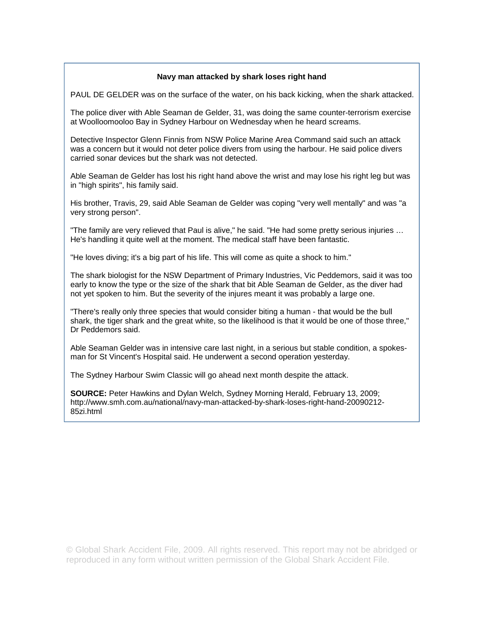### **Navy man attacked by shark loses right hand**

PAUL DE GELDER was on the surface of the water, on his back kicking, when the shark attacked.

The police diver with Able Seaman de Gelder, 31, was doing the same counter-terrorism exercise at Woolloomooloo Bay in Sydney Harbour on Wednesday when he heard screams.

Detective Inspector Glenn Finnis from NSW Police Marine Area Command said such an attack was a concern but it would not deter police divers from using the harbour. He said police divers carried sonar devices but the shark was not detected.

Able Seaman de Gelder has lost his right hand above the wrist and may lose his right leg but was in "high spirits", his family said.

His brother, Travis, 29, said Able Seaman de Gelder was coping "very well mentally" and was "a very strong person".

"The family are very relieved that Paul is alive," he said. "He had some pretty serious injuries … He's handling it quite well at the moment. The medical staff have been fantastic.

"He loves diving; it's a big part of his life. This will come as quite a shock to him."

The shark biologist for the NSW Department of Primary Industries, Vic Peddemors, said it was too early to know the type or the size of the shark that bit Able Seaman de Gelder, as the diver had not yet spoken to him. But the severity of the injures meant it was probably a large one.

"There's really only three species that would consider biting a human - that would be the bull shark, the tiger shark and the great white, so the likelihood is that it would be one of those three," Dr Peddemors said.

Able Seaman Gelder was in intensive care last night, in a serious but stable condition, a spokesman for St Vincent's Hospital said. He underwent a second operation yesterday.

The Sydney Harbour Swim Classic will go ahead next month despite the attack.

**SOURCE:** Peter Hawkins and Dylan Welch, Sydney Morning Herald, February 13, 2009; http://www.smh.com.au/national/navy-man-attacked-by-shark-loses-right-hand-20090212- 85zi.html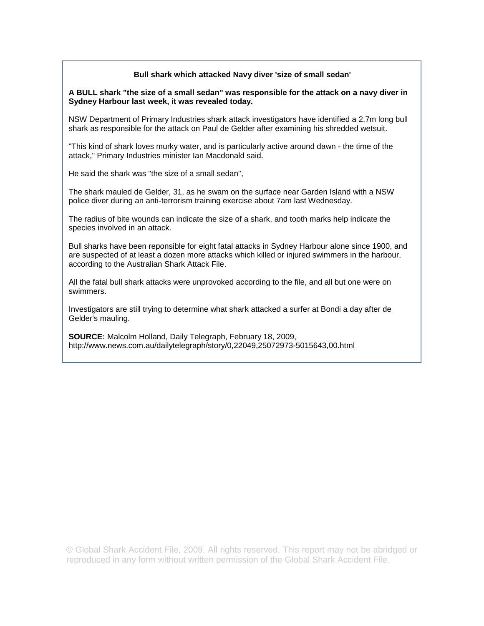## **Bull shark which attacked Navy diver 'size of small sedan'**

**A BULL shark "the size of a small sedan" was responsible for the attack on a navy diver in Sydney Harbour last week, it was revealed today.** 

NSW Department of Primary Industries shark attack investigators have identified a 2.7m long bull shark as responsible for the attack on Paul de Gelder after examining his shredded wetsuit.

"This kind of shark loves murky water, and is particularly active around dawn - the time of the attack," Primary Industries minister Ian Macdonald said.

He said the shark was "the size of a small sedan",

The shark mauled de Gelder, 31, as he swam on the surface near Garden Island with a NSW police diver during an anti-terrorism training exercise about 7am last Wednesday.

The radius of bite wounds can indicate the size of a shark, and tooth marks help indicate the species involved in an attack.

Bull sharks have been reponsible for eight fatal attacks in Sydney Harbour alone since 1900, and are suspected of at least a dozen more attacks which killed or injured swimmers in the harbour, according to the Australian Shark Attack File.

All the fatal bull shark attacks were unprovoked according to the file, and all but one were on swimmers.

Investigators are still trying to determine what shark attacked a surfer at Bondi a day after de Gelder's mauling.

**SOURCE:** Malcolm Holland, Daily Telegraph, February 18, 2009, http://www.news.com.au/dailytelegraph/story/0,22049,25072973-5015643,00.html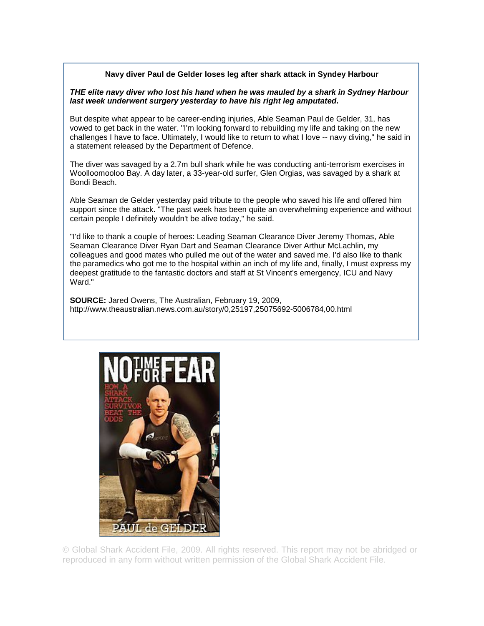# **Navy diver Paul de Gelder loses leg after shark attack in Syndey Harbour**

## *THE elite navy diver who lost his hand when he was mauled by a shark in Sydney Harbour last week underwent surgery yesterday to have his right leg amputated.*

But despite what appear to be career-ending injuries, Able Seaman Paul de Gelder, 31, has vowed to get back in the water. "I'm looking forward to rebuilding my life and taking on the new challenges I have to face. Ultimately, I would like to return to what I love -- navy diving," he said in a statement released by the Department of Defence.

The diver was savaged by a 2.7m bull shark while he was conducting anti-terrorism exercises in Woolloomooloo Bay. A day later, a 33-year-old surfer, Glen Orgias, was savaged by a shark at Bondi Beach.

Able Seaman de Gelder yesterday paid tribute to the people who saved his life and offered him support since the attack. "The past week has been quite an overwhelming experience and without certain people I definitely wouldn't be alive today," he said.

"I'd like to thank a couple of heroes: Leading Seaman Clearance Diver Jeremy Thomas, Able Seaman Clearance Diver Ryan Dart and Seaman Clearance Diver Arthur McLachlin, my colleagues and good mates who pulled me out of the water and saved me. I'd also like to thank the paramedics who got me to the hospital within an inch of my life and, finally, I must express my deepest gratitude to the fantastic doctors and staff at St Vincent's emergency, ICU and Navy Ward."

**SOURCE:** Jared Owens, The Australian, February 19, 2009, http://www.theaustralian.news.com.au/story/0,25197,25075692-5006784,00.html

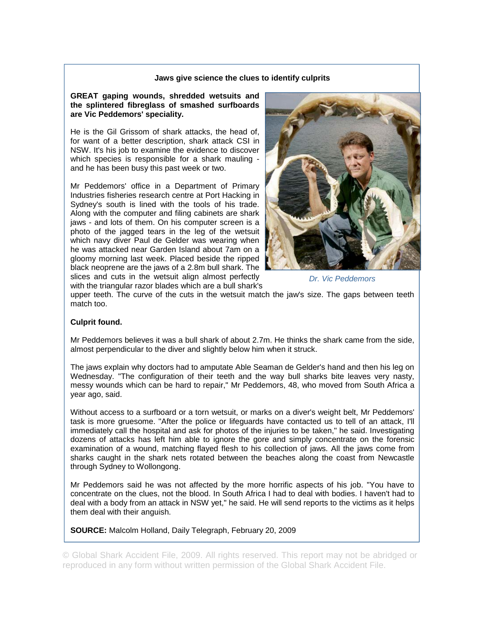#### **Jaws give science the clues to identify culprits**

#### **GREAT gaping wounds, shredded wetsuits and the splintered fibreglass of smashed surfboards are Vic Peddemors' speciality.**

He is the Gil Grissom of shark attacks, the head of, for want of a better description, shark attack CSI in NSW. It's his job to examine the evidence to discover which species is responsible for a shark mauling and he has been busy this past week or two.

Mr Peddemors' office in a Department of Primary Industries fisheries research centre at Port Hacking in Sydney's south is lined with the tools of his trade. Along with the computer and filing cabinets are shark jaws - and lots of them. On his computer screen is a photo of the jagged tears in the leg of the wetsuit which navy diver Paul de Gelder was wearing when he was attacked near Garden Island about 7am on a gloomy morning last week. Placed beside the ripped black neoprene are the jaws of a 2.8m bull shark. The slices and cuts in the wetsuit align almost perfectly with the triangular razor blades which are a bull shark's



*Dr. Vic Peddemors* 

upper teeth. The curve of the cuts in the wetsuit match the jaw's size. The gaps between teeth match too.

# **Culprit found.**

Mr Peddemors believes it was a bull shark of about 2.7m. He thinks the shark came from the side, almost perpendicular to the diver and slightly below him when it struck.

The jaws explain why doctors had to amputate Able Seaman de Gelder's hand and then his leg on Wednesday. "The configuration of their teeth and the way bull sharks bite leaves very nasty, messy wounds which can be hard to repair," Mr Peddemors, 48, who moved from South Africa a year ago, said.

Without access to a surfboard or a torn wetsuit, or marks on a diver's weight belt, Mr Peddemors' task is more gruesome. "After the police or lifeguards have contacted us to tell of an attack, I'll immediately call the hospital and ask for photos of the injuries to be taken," he said. Investigating dozens of attacks has left him able to ignore the gore and simply concentrate on the forensic examination of a wound, matching flayed flesh to his collection of jaws. All the jaws come from sharks caught in the shark nets rotated between the beaches along the coast from Newcastle through Sydney to Wollongong.

Mr Peddemors said he was not affected by the more horrific aspects of his job. "You have to concentrate on the clues, not the blood. In South Africa I had to deal with bodies. I haven't had to deal with a body from an attack in NSW yet," he said. He will send reports to the victims as it helps them deal with their anguish.

**SOURCE:** Malcolm Holland, Daily Telegraph, February 20, 2009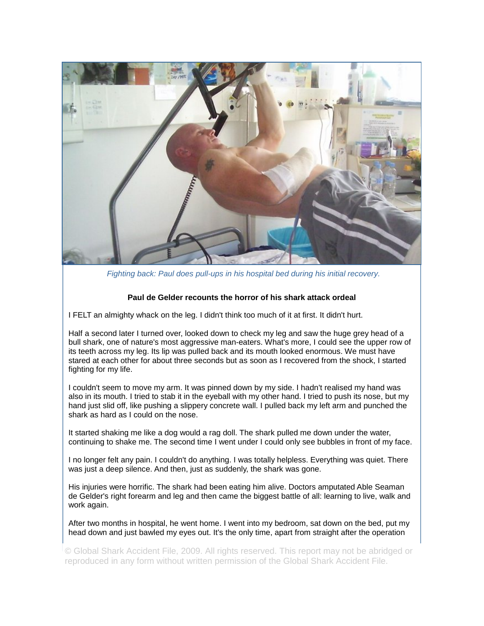

*Fighting back: Paul does pull-ups in his hospital bed during his initial recovery.* 

### **Paul de Gelder recounts the horror of his shark attack ordeal**

I FELT an almighty whack on the leg. I didn't think too much of it at first. It didn't hurt.

Half a second later I turned over, looked down to check my leg and saw the huge grey head of a bull shark, one of nature's most aggressive man-eaters. What's more, I could see the upper row of its teeth across my leg. Its lip was pulled back and its mouth looked enormous. We must have stared at each other for about three seconds but as soon as I recovered from the shock, I started fighting for my life.

I couldn't seem to move my arm. It was pinned down by my side. I hadn't realised my hand was also in its mouth. I tried to stab it in the eyeball with my other hand. I tried to push its nose, but my hand just slid off, like pushing a slippery concrete wall. I pulled back my left arm and punched the shark as hard as I could on the nose.

It started shaking me like a dog would a rag doll. The shark pulled me down under the water, continuing to shake me. The second time I went under I could only see bubbles in front of my face.

I no longer felt any pain. I couldn't do anything. I was totally helpless. Everything was quiet. There was just a deep silence. And then, just as suddenly, the shark was gone.

His injuries were horrific. The shark had been eating him alive. Doctors amputated Able Seaman de Gelder's right forearm and leg and then came the biggest battle of all: learning to live, walk and work again.

After two months in hospital, he went home. I went into my bedroom, sat down on the bed, put my head down and just bawled my eyes out. It's the only time, apart from straight after the operation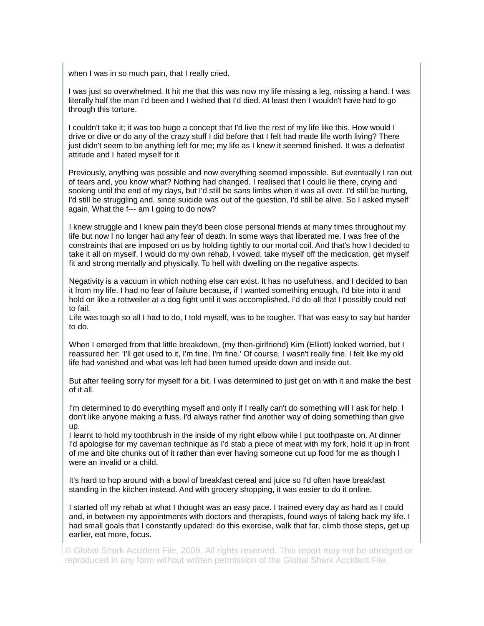when I was in so much pain, that I really cried.

I was just so overwhelmed. It hit me that this was now my life missing a leg, missing a hand. I was literally half the man I'd been and I wished that I'd died. At least then I wouldn't have had to go through this torture.

I couldn't take it; it was too huge a concept that I'd live the rest of my life like this. How would I drive or dive or do any of the crazy stuff I did before that I felt had made life worth living? There just didn't seem to be anything left for me; my life as I knew it seemed finished. It was a defeatist attitude and I hated myself for it.

Previously, anything was possible and now everything seemed impossible. But eventually I ran out of tears and, you know what? Nothing had changed. I realised that I could lie there, crying and sooking until the end of my days, but I'd still be sans limbs when it was all over. I'd still be hurting, I'd still be struggling and, since suicide was out of the question, I'd still be alive. So I asked myself again, What the f--- am I going to do now?

I knew struggle and I knew pain they'd been close personal friends at many times throughout my life but now I no longer had any fear of death. In some ways that liberated me. I was free of the constraints that are imposed on us by holding tightly to our mortal coil. And that's how I decided to take it all on myself. I would do my own rehab, I vowed, take myself off the medication, get myself fit and strong mentally and physically. To hell with dwelling on the negative aspects.

Negativity is a vacuum in which nothing else can exist. It has no usefulness, and I decided to ban it from my life. I had no fear of failure because, if I wanted something enough, I'd bite into it and hold on like a rottweiler at a dog fight until it was accomplished. I'd do all that I possibly could not to fail.

Life was tough so all I had to do, I told myself, was to be tougher. That was easy to say but harder to do.

When I emerged from that little breakdown, (my then-girlfriend) Kim (Elliott) looked worried, but I reassured her: 'I'll get used to it, I'm fine, I'm fine.' Of course, I wasn't really fine. I felt like my old life had vanished and what was left had been turned upside down and inside out.

But after feeling sorry for myself for a bit, I was determined to just get on with it and make the best of it all.

I'm determined to do everything myself and only if I really can't do something will I ask for help. I don't like anyone making a fuss. I'd always rather find another way of doing something than give up.

I learnt to hold my toothbrush in the inside of my right elbow while I put toothpaste on. At dinner I'd apologise for my caveman technique as I'd stab a piece of meat with my fork, hold it up in front of me and bite chunks out of it rather than ever having someone cut up food for me as though I were an invalid or a child.

It's hard to hop around with a bowl of breakfast cereal and juice so I'd often have breakfast standing in the kitchen instead. And with grocery shopping, it was easier to do it online.

I started off my rehab at what I thought was an easy pace. I trained every day as hard as I could and, in between my appointments with doctors and therapists, found ways of taking back my life. I had small goals that I constantly updated: do this exercise, walk that far, climb those steps, get up earlier, eat more, focus.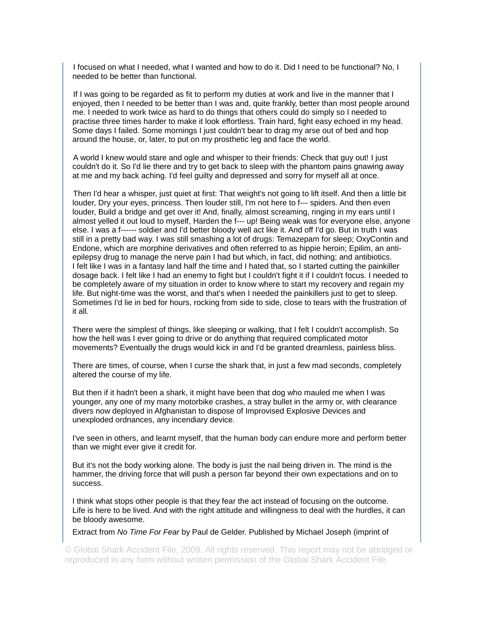I focused on what I needed, what I wanted and how to do it. Did I need to be functional? No, I needed to be better than functional.

If I was going to be regarded as fit to perform my duties at work and live in the manner that I enjoyed, then I needed to be better than I was and, quite frankly, better than most people around me. I needed to work twice as hard to do things that others could do simply so I needed to practise three times harder to make it look effortless. Train hard, fight easy echoed in my head. Some days I failed. Some mornings I just couldn't bear to drag my arse out of bed and hop around the house, or, later, to put on my prosthetic leg and face the world.

A world I knew would stare and ogle and whisper to their friends: Check that guy out! I just couldn't do it. So I'd lie there and try to get back to sleep with the phantom pains gnawing away at me and my back aching. I'd feel guilty and depressed and sorry for myself all at once.

Then I'd hear a whisper, just quiet at first: That weight's not going to lift itself. And then a little bit louder, Dry your eyes, princess. Then louder still, I'm not here to f--- spiders. And then even louder, Build a bridge and get over it! And, finally, almost screaming, ringing in my ears until I almost yelled it out loud to myself, Harden the f--- up! Being weak was for everyone else, anyone else. I was a f------ soldier and I'd better bloody well act like it. And off I'd go. But in truth I was still in a pretty bad way. I was still smashing a lot of drugs: Temazepam for sleep; OxyContin and Endone, which are morphine derivatives and often referred to as hippie heroin; Epilim, an antiepilepsy drug to manage the nerve pain I had but which, in fact, did nothing; and antibiotics. I felt like I was in a fantasy land half the time and I hated that, so I started cutting the painkiller dosage back. I felt like I had an enemy to fight but I couldn't fight it if I couldn't focus. I needed to be completely aware of my situation in order to know where to start my recovery and regain my life. But night-time was the worst, and that's when I needed the painkillers just to get to sleep. Sometimes I'd lie in bed for hours, rocking from side to side, close to tears with the frustration of it all.

There were the simplest of things, like sleeping or walking, that I felt I couldn't accomplish. So how the hell was I ever going to drive or do anything that required complicated motor movements? Eventually the drugs would kick in and I'd be granted dreamless, painless bliss.

There are times, of course, when I curse the shark that, in just a few mad seconds, completely altered the course of my life.

But then if it hadn't been a shark, it might have been that dog who mauled me when I was younger, any one of my many motorbike crashes, a stray bullet in the army or, with clearance divers now deployed in Afghanistan to dispose of Improvised Explosive Devices and unexploded ordnances, any incendiary device.

I've seen in others, and learnt myself, that the human body can endure more and perform better than we might ever give it credit for.

But it's not the body working alone. The body is just the nail being driven in. The mind is the hammer, the driving force that will push a person far beyond their own expectations and on to success.

I think what stops other people is that they fear the act instead of focusing on the outcome. Life is here to be lived. And with the right attitude and willingness to deal with the hurdles, it can be bloody awesome.

Extract from *No Time For Fear* by Paul de Gelder. Published by Michael Joseph (imprint of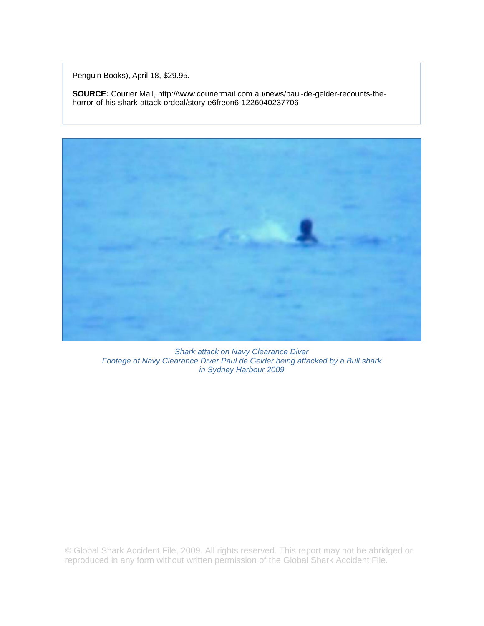Penguin Books), April 18, \$29.95.

**SOURCE:** Courier Mail, http://www.couriermail.com.au/news/paul-de-gelder-recounts-thehorror-of-his-shark-attack-ordeal/story-e6freon6-1226040237706



*Shark attack on Navy Clearance Diver Footage of Navy Clearance Diver Paul de Gelder being attacked by a Bull shark in Sydney Harbour 2009*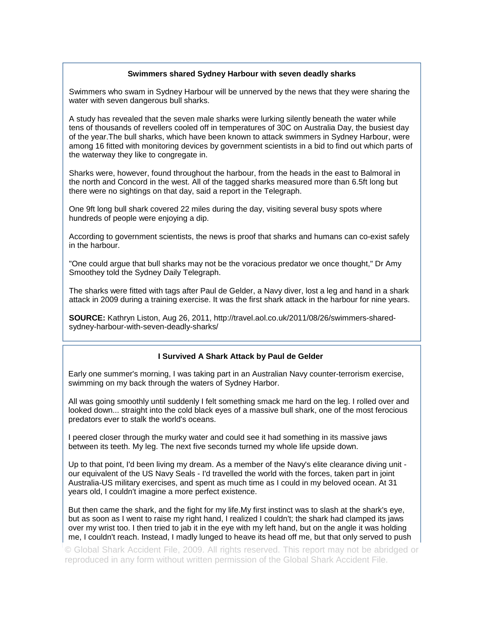## **Swimmers shared Sydney Harbour with seven deadly sharks**

Swimmers who swam in Sydney Harbour will be unnerved by the news that they were sharing the water with seven dangerous bull sharks.

A study has revealed that the seven male sharks were lurking silently beneath the water while tens of thousands of revellers cooled off in temperatures of 30C on Australia Day, the busiest day of the year.The bull sharks, which have been known to attack swimmers in Sydney Harbour, were among 16 fitted with monitoring devices by government scientists in a bid to find out which parts of the waterway they like to congregate in.

Sharks were, however, found throughout the harbour, from the heads in the east to Balmoral in the north and Concord in the west. All of the tagged sharks measured more than 6.5ft long but there were no sightings on that day, said a report in the Telegraph.

One 9ft long bull shark covered 22 miles during the day, visiting several busy spots where hundreds of people were enjoying a dip.

According to government scientists, the news is proof that sharks and humans can co-exist safely in the harbour.

"One could argue that bull sharks may not be the voracious predator we once thought," Dr Amy Smoothey told the Sydney Daily Telegraph.

The sharks were fitted with tags after Paul de Gelder, a Navy diver, lost a leg and hand in a shark attack in 2009 during a training exercise. It was the first shark attack in the harbour for nine years.

**SOURCE:** Kathryn Liston, Aug 26, 2011, http://travel.aol.co.uk/2011/08/26/swimmers-sharedsydney-harbour-with-seven-deadly-sharks/

### **I Survived A Shark Attack by Paul de Gelder**

Early one summer's morning, I was taking part in an Australian Navy counter-terrorism exercise, swimming on my back through the waters of Sydney Harbor.

All was going smoothly until suddenly I felt something smack me hard on the leg. I rolled over and looked down... straight into the cold black eyes of a massive bull shark, one of the most ferocious predators ever to stalk the world's oceans.

I peered closer through the murky water and could see it had something in its massive jaws between its teeth. My leg. The next five seconds turned my whole life upside down.

Up to that point, I'd been living my dream. As a member of the Navy's elite clearance diving unit our equivalent of the US Navy Seals - I'd travelled the world with the forces, taken part in joint Australia-US military exercises, and spent as much time as I could in my beloved ocean. At 31 years old, I couldn't imagine a more perfect existence.

But then came the shark, and the fight for my life.My first instinct was to slash at the shark's eye, but as soon as I went to raise my right hand, I realized I couldn't; the shark had clamped its jaws over my wrist too. I then tried to jab it in the eye with my left hand, but on the angle it was holding me, I couldn't reach. Instead, I madly lunged to heave its head off me, but that only served to push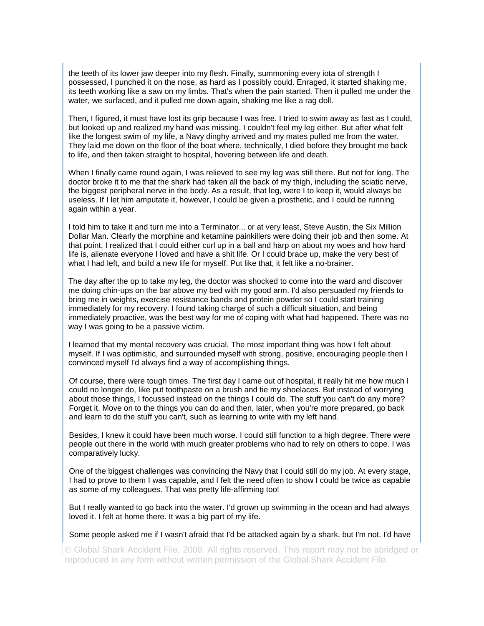the teeth of its lower jaw deeper into my flesh. Finally, summoning every iota of strength I possessed, I punched it on the nose, as hard as I possibly could. Enraged, it started shaking me, its teeth working like a saw on my limbs. That's when the pain started. Then it pulled me under the water, we surfaced, and it pulled me down again, shaking me like a rag doll.

Then, I figured, it must have lost its grip because I was free. I tried to swim away as fast as I could, but looked up and realized my hand was missing. I couldn't feel my leg either. But after what felt like the longest swim of my life, a Navy dinghy arrived and my mates pulled me from the water. They laid me down on the floor of the boat where, technically, I died before they brought me back to life, and then taken straight to hospital, hovering between life and death.

When I finally came round again, I was relieved to see my leg was still there. But not for long. The doctor broke it to me that the shark had taken all the back of my thigh, including the sciatic nerve, the biggest peripheral nerve in the body. As a result, that leg, were I to keep it, would always be useless. If I let him amputate it, however, I could be given a prosthetic, and I could be running again within a year.

I told him to take it and turn me into a Terminator... or at very least, Steve Austin, the Six Million Dollar Man. Clearly the morphine and ketamine painkillers were doing their job and then some. At that point, I realized that I could either curl up in a ball and harp on about my woes and how hard life is, alienate everyone I loved and have a shit life. Or I could brace up, make the very best of what I had left, and build a new life for myself. Put like that, it felt like a no-brainer.

The day after the op to take my leg, the doctor was shocked to come into the ward and discover me doing chin-ups on the bar above my bed with my good arm. I'd also persuaded my friends to bring me in weights, exercise resistance bands and protein powder so I could start training immediately for my recovery. I found taking charge of such a difficult situation, and being immediately proactive, was the best way for me of coping with what had happened. There was no way I was going to be a passive victim.

I learned that my mental recovery was crucial. The most important thing was how I felt about myself. If I was optimistic, and surrounded myself with strong, positive, encouraging people then I convinced myself I'd always find a way of accomplishing things.

Of course, there were tough times. The first day I came out of hospital, it really hit me how much I could no longer do, like put toothpaste on a brush and tie my shoelaces. But instead of worrying about those things, I focussed instead on the things I could do. The stuff you can't do any more? Forget it. Move on to the things you can do and then, later, when you're more prepared, go back and learn to do the stuff you can't, such as learning to write with my left hand.

Besides, I knew it could have been much worse. I could still function to a high degree. There were people out there in the world with much greater problems who had to rely on others to cope. I was comparatively lucky.

One of the biggest challenges was convincing the Navy that I could still do my job. At every stage, I had to prove to them I was capable, and I felt the need often to show I could be twice as capable as some of my colleagues. That was pretty life-affirming too!

But I really wanted to go back into the water. I'd grown up swimming in the ocean and had always loved it. I felt at home there. It was a big part of my life.

Some people asked me if I wasn't afraid that I'd be attacked again by a shark, but I'm not. I'd have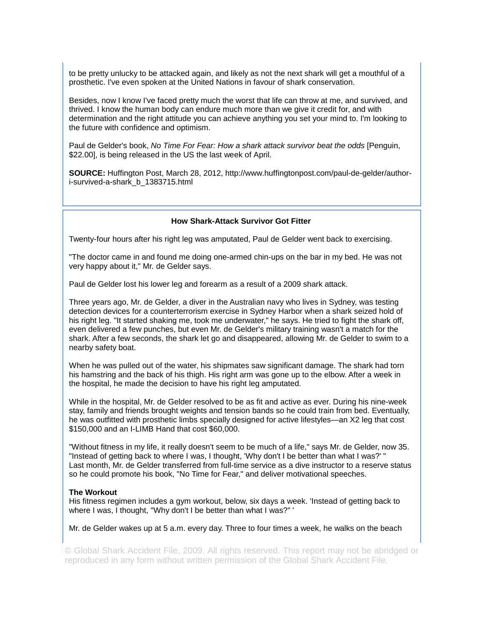to be pretty unlucky to be attacked again, and likely as not the next shark will get a mouthful of a prosthetic. I've even spoken at the United Nations in favour of shark conservation.

Besides, now I know I've faced pretty much the worst that life can throw at me, and survived, and thrived. I know the human body can endure much more than we give it credit for, and with determination and the right attitude you can achieve anything you set your mind to. I'm looking to the future with confidence and optimism.

Paul de Gelder's book, *No Time For Fear: How a shark attack survivor beat the odds* [Penguin, \$22.00], is being released in the US the last week of April.

**SOURCE:** Huffington Post, March 28, 2012, http://www.huffingtonpost.com/paul-de-gelder/authori-survived-a-shark\_b\_1383715.html

### **How Shark-Attack Survivor Got Fitter**

Twenty-four hours after his right leg was amputated, Paul de Gelder went back to exercising.

"The doctor came in and found me doing one-armed chin-ups on the bar in my bed. He was not very happy about it," Mr. de Gelder says.

Paul de Gelder lost his lower leg and forearm as a result of a 2009 shark attack.

Three years ago, Mr. de Gelder, a diver in the Australian navy who lives in Sydney, was testing detection devices for a counterterrorism exercise in Sydney Harbor when a shark seized hold of his right leg. "It started shaking me, took me underwater," he says. He tried to fight the shark off, even delivered a few punches, but even Mr. de Gelder's military training wasn't a match for the shark. After a few seconds, the shark let go and disappeared, allowing Mr. de Gelder to swim to a nearby safety boat.

When he was pulled out of the water, his shipmates saw significant damage. The shark had torn his hamstring and the back of his thigh. His right arm was gone up to the elbow. After a week in the hospital, he made the decision to have his right leg amputated.

While in the hospital, Mr. de Gelder resolved to be as fit and active as ever. During his nine-week stay, family and friends brought weights and tension bands so he could train from bed. Eventually, he was outfitted with prosthetic limbs specially designed for active lifestyles—an X2 leg that cost \$150,000 and an I-LIMB Hand that cost \$60,000.

"Without fitness in my life, it really doesn't seem to be much of a life," says Mr. de Gelder, now 35. "Instead of getting back to where I was, I thought, 'Why don't I be better than what I was?' " Last month, Mr. de Gelder transferred from full-time service as a dive instructor to a reserve status so he could promote his book, "No Time for Fear," and deliver motivational speeches.

#### **The Workout**

His fitness regimen includes a gym workout, below, six days a week. 'Instead of getting back to where I was, I thought, "Why don't I be better than what I was?" '

Mr. de Gelder wakes up at 5 a.m. every day. Three to four times a week, he walks on the beach